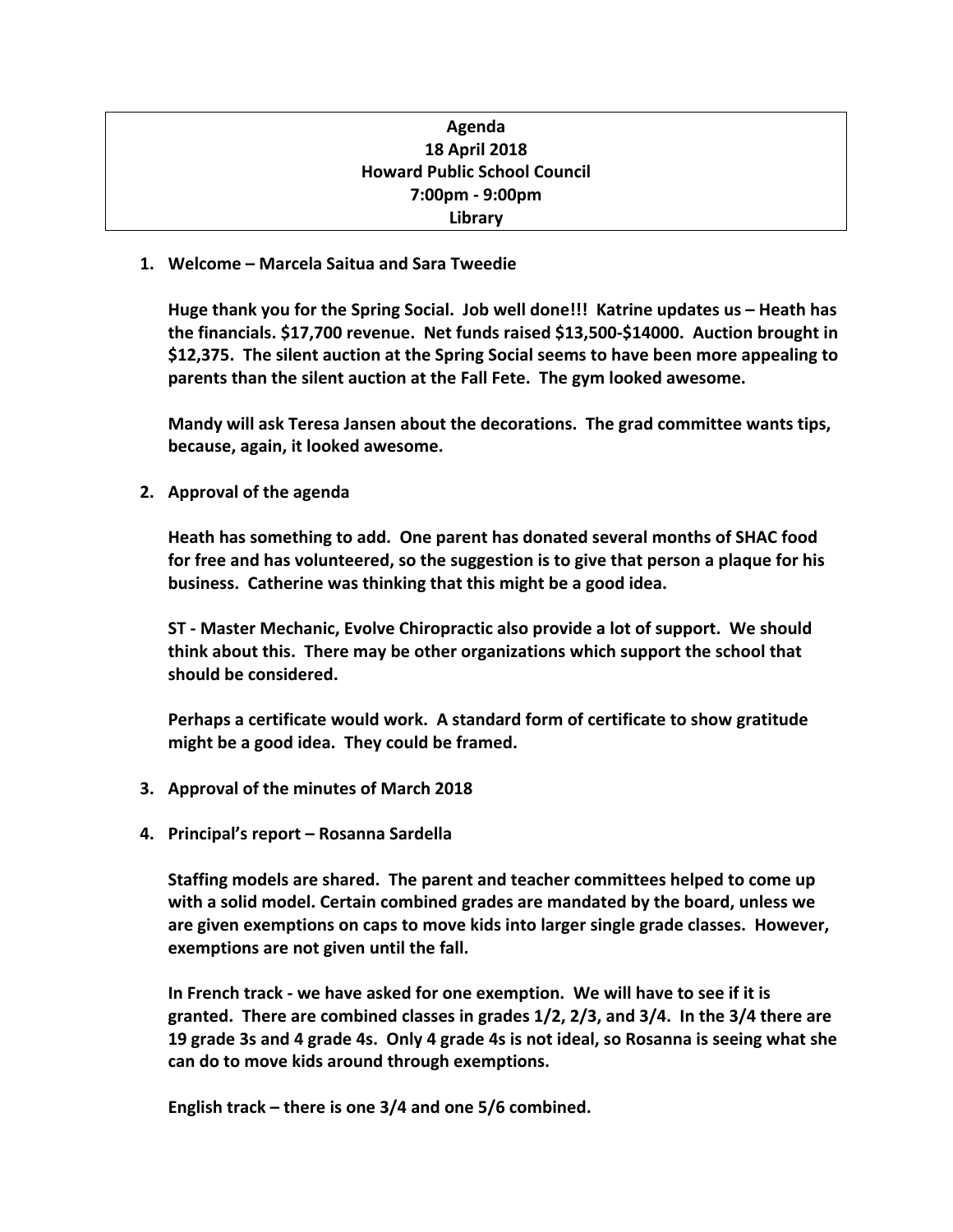| Agenda                              |
|-------------------------------------|
| <b>18 April 2018</b>                |
| <b>Howard Public School Council</b> |
| 7:00pm - 9:00pm                     |
| Library                             |

**1. Welcome – Marcela Saitua and Sara Tweedie**

**Huge thank you for the Spring Social. Job well done!!! Katrine updates us – Heath has the financials. \$17,700 revenue. Net funds raised \$13,500-\$14000. Auction brought in \$12,375. The silent auction at the Spring Social seems to have been more appealing to parents than the silent auction at the Fall Fete. The gym looked awesome.**

**Mandy will ask Teresa Jansen about the decorations. The grad committee wants tips, because, again, it looked awesome.**

**2. Approval of the agenda** 

**Heath has something to add. One parent has donated several months of SHAC food for free and has volunteered, so the suggestion is to give that person a plaque for his business. Catherine was thinking that this might be a good idea.**

**ST - Master Mechanic, Evolve Chiropractic also provide a lot of support. We should think about this. There may be other organizations which support the school that should be considered.** 

**Perhaps a certificate would work. A standard form of certificate to show gratitude might be a good idea. They could be framed.**

- **3. Approval of the minutes of March 2018**
- **4. Principal's report Rosanna Sardella**

**Staffing models are shared. The parent and teacher committees helped to come up with a solid model. Certain combined grades are mandated by the board, unless we are given exemptions on caps to move kids into larger single grade classes. However, exemptions are not given until the fall.** 

**In French track - we have asked for one exemption. We will have to see if it is granted. There are combined classes in grades 1/2, 2/3, and 3/4. In the 3/4 there are 19 grade 3s and 4 grade 4s. Only 4 grade 4s is not ideal, so Rosanna is seeing what she can do to move kids around through exemptions.**

**English track – there is one 3/4 and one 5/6 combined.**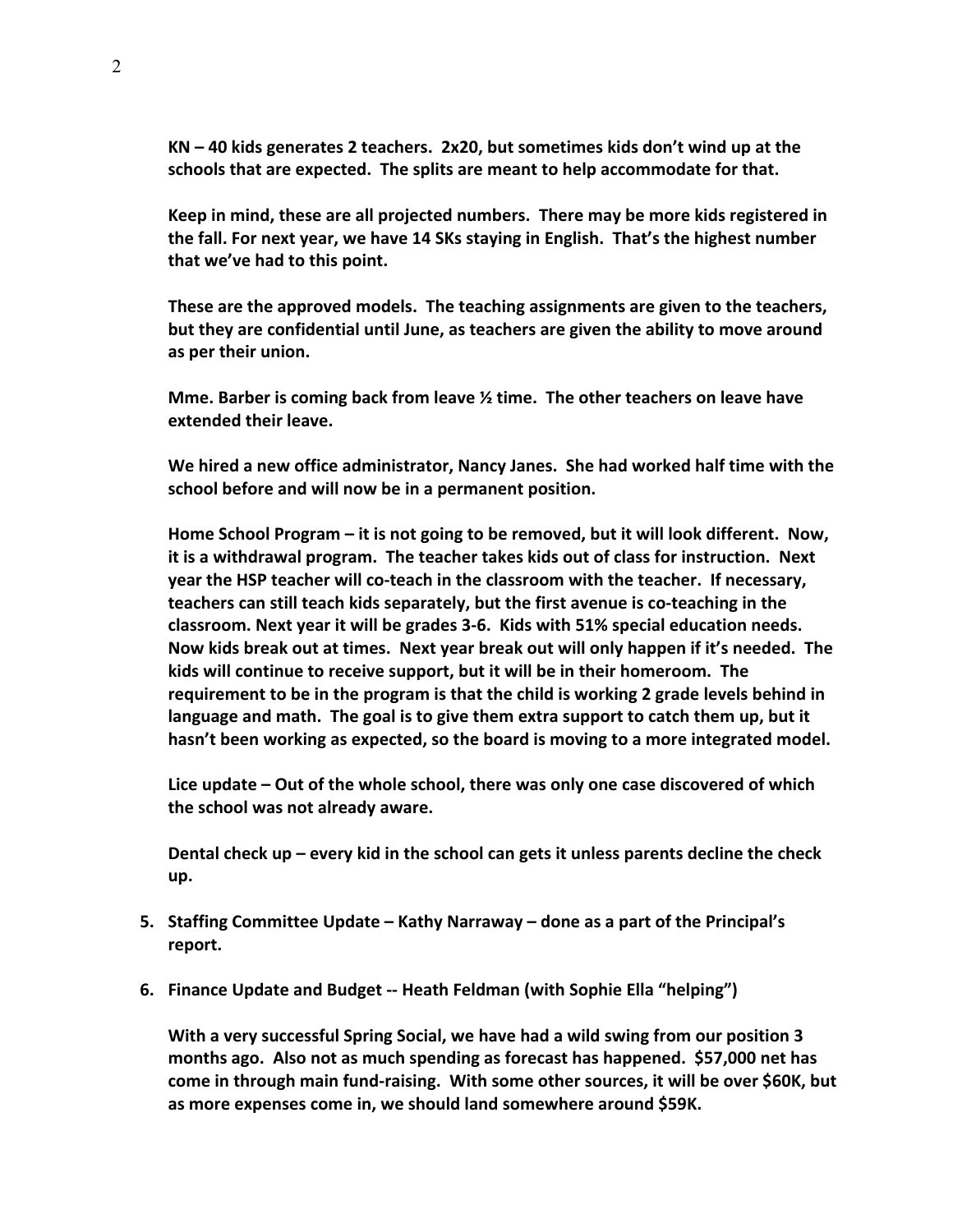**KN – 40 kids generates 2 teachers. 2x20, but sometimes kids don't wind up at the schools that are expected. The splits are meant to help accommodate for that.**

**Keep in mind, these are all projected numbers. There may be more kids registered in the fall. For next year, we have 14 SKs staying in English. That's the highest number that we've had to this point.** 

**These are the approved models. The teaching assignments are given to the teachers, but they are confidential until June, as teachers are given the ability to move around as per their union.** 

**Mme. Barber is coming back from leave ½ time. The other teachers on leave have extended their leave.**

**We hired a new office administrator, Nancy Janes. She had worked half time with the school before and will now be in a permanent position.** 

**Home School Program – it is not going to be removed, but it will look different. Now, it is a withdrawal program. The teacher takes kids out of class for instruction. Next year the HSP teacher will co-teach in the classroom with the teacher. If necessary, teachers can still teach kids separately, but the first avenue is co-teaching in the classroom. Next year it will be grades 3-6. Kids with 51% special education needs. Now kids break out at times. Next year break out will only happen if it's needed. The kids will continue to receive support, but it will be in their homeroom. The requirement to be in the program is that the child is working 2 grade levels behind in language and math. The goal is to give them extra support to catch them up, but it hasn't been working as expected, so the board is moving to a more integrated model.**

**Lice update – Out of the whole school, there was only one case discovered of which the school was not already aware.**

**Dental check up – every kid in the school can gets it unless parents decline the check up.**

- **5. Staffing Committee Update Kathy Narraway done as a part of the Principal's report.**
- **6. Finance Update and Budget -- Heath Feldman (with Sophie Ella "helping")**

**With a very successful Spring Social, we have had a wild swing from our position 3 months ago. Also not as much spending as forecast has happened. \$57,000 net has come in through main fund-raising. With some other sources, it will be over \$60K, but as more expenses come in, we should land somewhere around \$59K.**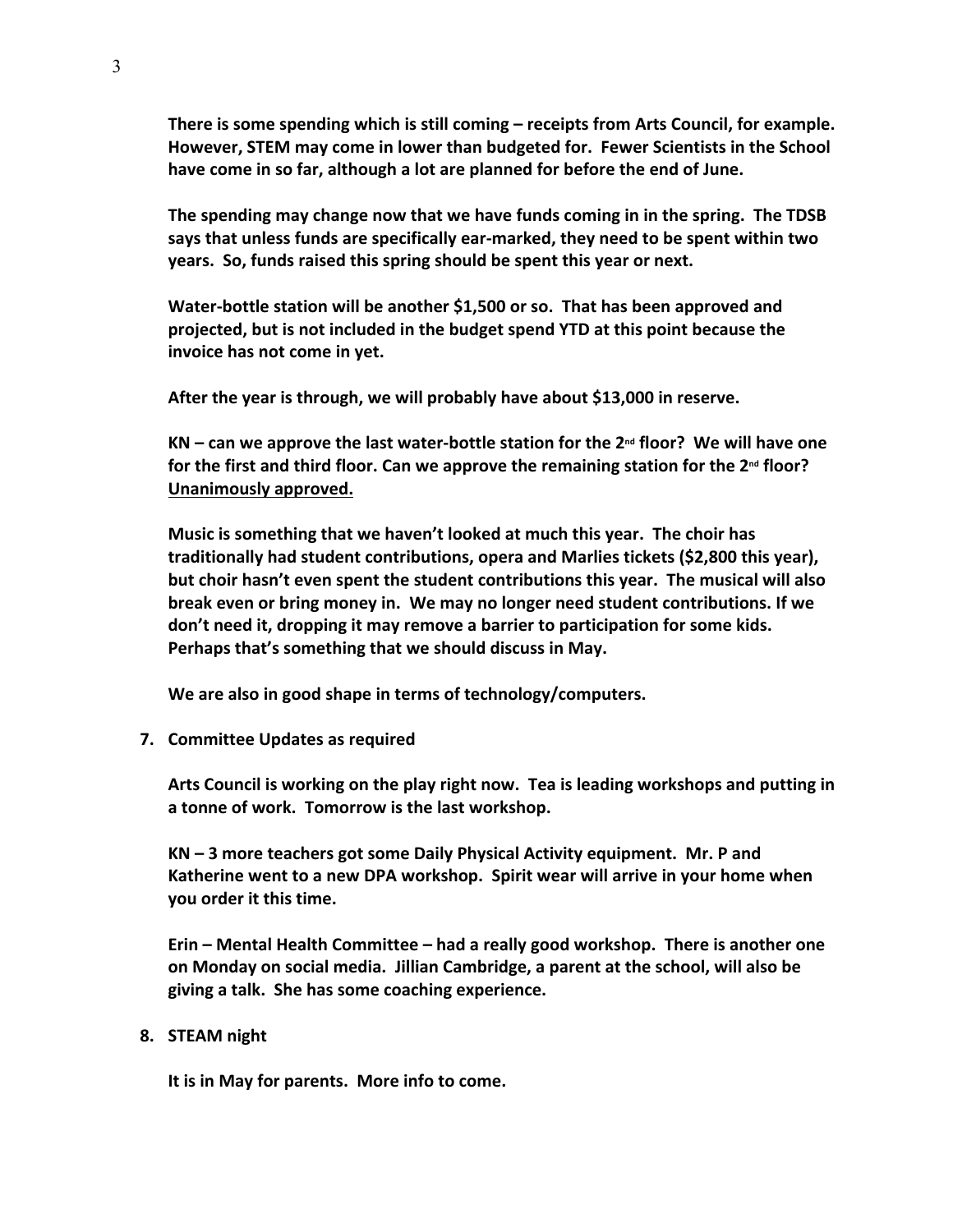**There is some spending which is still coming – receipts from Arts Council, for example. However, STEM may come in lower than budgeted for. Fewer Scientists in the School have come in so far, although a lot are planned for before the end of June.**

**The spending may change now that we have funds coming in in the spring. The TDSB says that unless funds are specifically ear-marked, they need to be spent within two years. So, funds raised this spring should be spent this year or next.** 

**Water-bottle station will be another \$1,500 or so. That has been approved and projected, but is not included in the budget spend YTD at this point because the invoice has not come in yet.**

**After the year is through, we will probably have about \$13,000 in reserve.**

**KN – can we approve the last water-bottle station for the 2nd floor? We will have one for the first and third floor. Can we approve the remaining station for the 2nd floor? Unanimously approved.**

**Music is something that we haven't looked at much this year. The choir has traditionally had student contributions, opera and Marlies tickets (\$2,800 this year), but choir hasn't even spent the student contributions this year. The musical will also break even or bring money in. We may no longer need student contributions. If we don't need it, dropping it may remove a barrier to participation for some kids. Perhaps that's something that we should discuss in May.**

**We are also in good shape in terms of technology/computers.**

**7. Committee Updates as required**

**Arts Council is working on the play right now. Tea is leading workshops and putting in a tonne of work. Tomorrow is the last workshop.**

**KN – 3 more teachers got some Daily Physical Activity equipment. Mr. P and Katherine went to a new DPA workshop. Spirit wear will arrive in your home when you order it this time.**

**Erin – Mental Health Committee – had a really good workshop. There is another one on Monday on social media. Jillian Cambridge, a parent at the school, will also be giving a talk. She has some coaching experience.**

## **8. STEAM night**

**It is in May for parents. More info to come.**